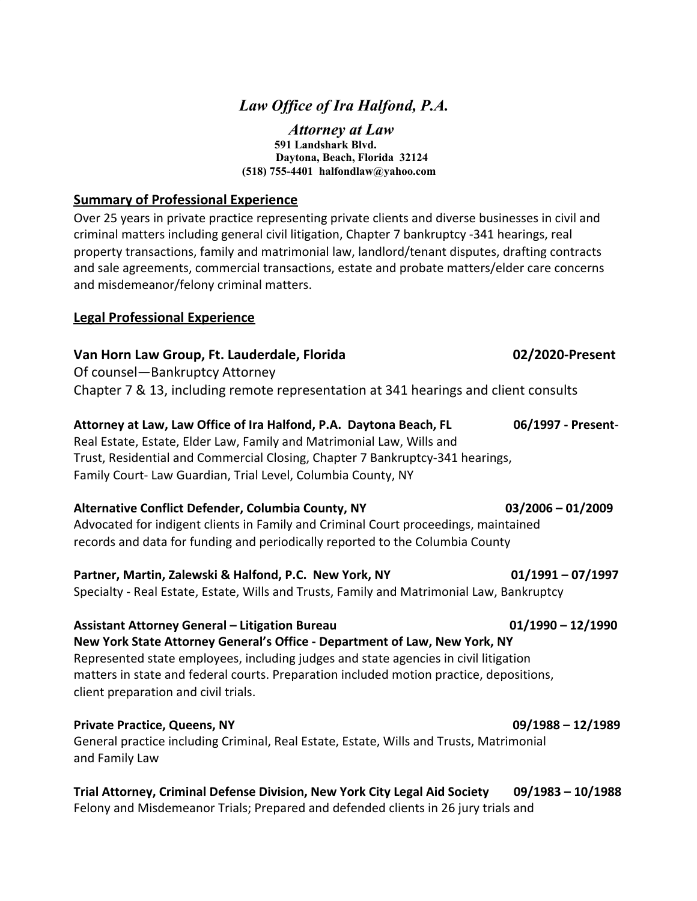# *Law Of ice of Ira Halfond, P.A.*

*Attorney at Law* **591 Landshark Blvd. Daytona, Beach, Florida 32124 (518) 755-4401 halfondlaw@yahoo.com**

### **Summary of Professional Experience**

Over 25 years in private practice representing private clients and diverse businesses in civil and criminal matters including general civil litigation, Chapter 7 bankruptcy -341 hearings, real property transactions, family and matrimonial law, landlord/tenant disputes, drafting contracts and sale agreements, commercial transactions, estate and probate matters/elder care concerns and misdemeanor/felony criminal matters.

# **Legal Professional Experience**

# **Van Horn Law Group, Ft. Lauderdale, Florida 02/2020-Present**

Of counsel—Bankruptcy Attorney Chapter 7 & 13, including remote representation at 341 hearings and client consults

# **Attorney at Law, Law Office of Ira Halfond, P.A. Daytona Beach, FL 06/1997 - Present**-Real Estate, Estate, Elder Law, Family and Matrimonial Law, Wills and

Trust, Residential and Commercial Closing, Chapter 7 Bankruptcy-341 hearings, Family Court- Law Guardian, Trial Level, Columbia County, NY

# **Alternative Conflict Defender, Columbia County, NY 03/2006 – 01/2009**

Advocated for indigent clients in Family and Criminal Court proceedings, maintained records and data for funding and periodically reported to the Columbia County

# **Partner, Martin, Zalewski & Halfond, P.C. New York, NY 01/1991 – 07/1997**

Specialty - Real Estate, Estate, Wills and Trusts, Family and Matrimonial Law, Bankruptcy

#### Assistant Attorney General – Litigation Bureau **01/1990 – 12/1990** – 12/1990

**New York State Attorney General's Office - Department of Law, New York, NY** Represented state employees, including judges and state agencies in civil litigation matters in state and federal courts. Preparation included motion practice, depositions, client preparation and civil trials.

# **Private Practice, Queens, NY 09/1988 – 12/1989**

General practice including Criminal, Real Estate, Estate, Wills and Trusts, Matrimonial and Family Law

# **Trial Attorney, Criminal Defense Division, New York City Legal Aid Society 09/1983 – 10/1988**

Felony and Misdemeanor Trials; Prepared and defended clients in 26 jury trials and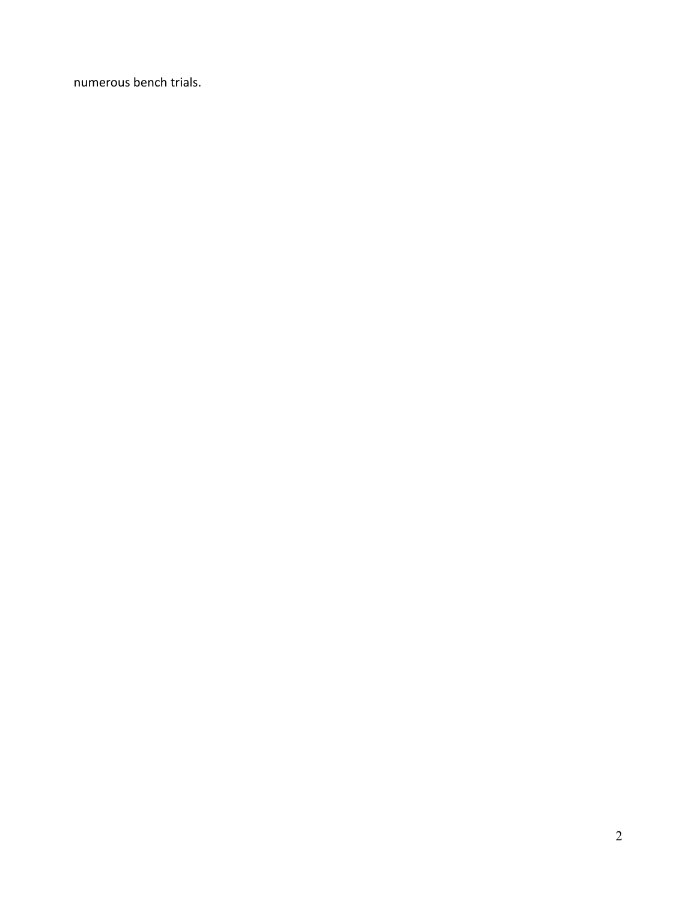numerous bench trials.